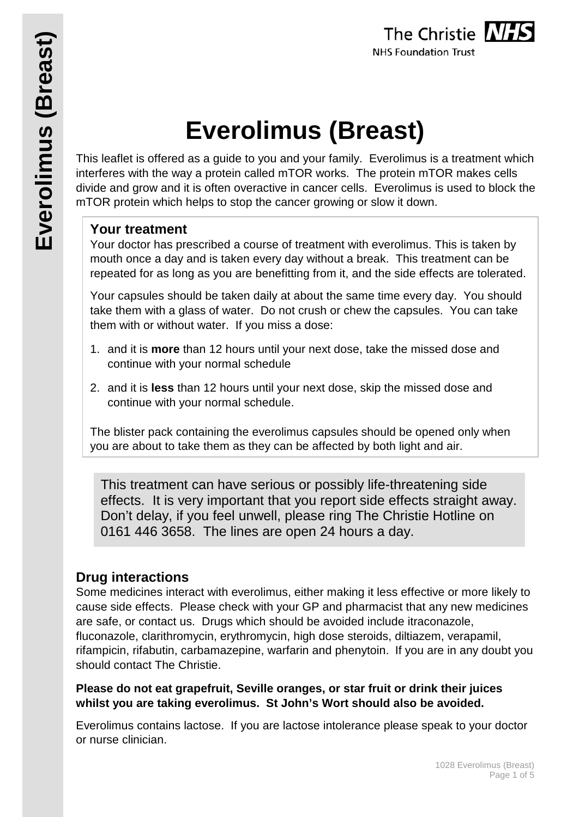# **Everolimus (Breast)**

This leaflet is offered as a guide to you and your family. Everolimus is a treatment which interferes with the way a protein called mTOR works. The protein mTOR makes cells divide and grow and it is often overactive in cancer cells. Everolimus is used to block the mTOR protein which helps to stop the cancer growing or slow it down.

## **Your treatment**

Your doctor has prescribed a course of treatment with everolimus. This is taken by mouth once a day and is taken every day without a break. This treatment can be repeated for as long as you are benefitting from it, and the side effects are tolerated.

Your capsules should be taken daily at about the same time every day. You should take them with a glass of water. Do not crush or chew the capsules. You can take them with or without water. If you miss a dose:

- 1. and it is **more** than 12 hours until your next dose, take the missed dose and continue with your normal schedule
- 2. and it is **less** than 12 hours until your next dose, skip the missed dose and continue with your normal schedule.

The blister pack containing the everolimus capsules should be opened only when you are about to take them as they can be affected by both light and air.

This treatment can have serious or possibly life-threatening side effects. It is very important that you report side effects straight away. Don't delay, if you feel unwell, please ring The Christie Hotline on 0161 446 3658. The lines are open 24 hours a day.

## **Drug interactions**

Some medicines interact with everolimus, either making it less effective or more likely to cause side effects. Please check with your GP and pharmacist that any new medicines are safe, or contact us. Drugs which should be avoided include itraconazole, fluconazole, clarithromycin, erythromycin, high dose steroids, diltiazem, verapamil, rifampicin, rifabutin, carbamazepine, warfarin and phenytoin. If you are in any doubt you should contact The Christie.

#### **Please do not eat grapefruit, Seville oranges, or star fruit or drink their juices whilst you are taking everolimus. St John's Wort should also be avoided.**

Everolimus contains lactose. If you are lactose intolerance please speak to your doctor or nurse clinician.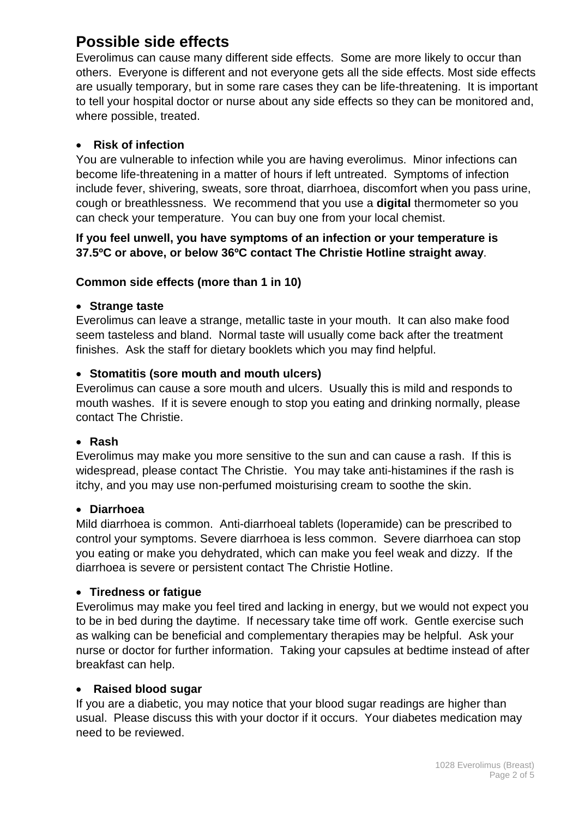# **Possible side effects**

Everolimus can cause many different side effects. Some are more likely to occur than others. Everyone is different and not everyone gets all the side effects. Most side effects are usually temporary, but in some rare cases they can be life-threatening. It is important to tell your hospital doctor or nurse about any side effects so they can be monitored and, where possible, treated.

#### • **Risk of infection**

You are vulnerable to infection while you are having everolimus. Minor infections can become life-threatening in a matter of hours if left untreated. Symptoms of infection include fever, shivering, sweats, sore throat, diarrhoea, discomfort when you pass urine, cough or breathlessness. We recommend that you use a **digital** thermometer so you can check your temperature. You can buy one from your local chemist.

#### **If you feel unwell, you have symptoms of an infection or your temperature is 37.5ºC or above, or below 36ºC contact The Christie Hotline straight away**.

#### **Common side effects (more than 1 in 10)**

#### • **Strange taste**

Everolimus can leave a strange, metallic taste in your mouth. It can also make food seem tasteless and bland. Normal taste will usually come back after the treatment finishes. Ask the staff for dietary booklets which you may find helpful.

#### • **Stomatitis (sore mouth and mouth ulcers)**

Everolimus can cause a sore mouth and ulcers. Usually this is mild and responds to mouth washes. If it is severe enough to stop you eating and drinking normally, please contact The Christie.

#### • **Rash**

Everolimus may make you more sensitive to the sun and can cause a rash. If this is widespread, please contact The Christie. You may take anti-histamines if the rash is itchy, and you may use non-perfumed moisturising cream to soothe the skin.

#### • **Diarrhoea**

Mild diarrhoea is common. Anti-diarrhoeal tablets (loperamide) can be prescribed to control your symptoms. Severe diarrhoea is less common. Severe diarrhoea can stop you eating or make you dehydrated, which can make you feel weak and dizzy. If the diarrhoea is severe or persistent contact The Christie Hotline.

#### • **Tiredness or fatigue**

Everolimus may make you feel tired and lacking in energy, but we would not expect you to be in bed during the daytime. If necessary take time off work. Gentle exercise such as walking can be beneficial and complementary therapies may be helpful. Ask your nurse or doctor for further information. Taking your capsules at bedtime instead of after breakfast can help.

#### • **Raised blood sugar**

If you are a diabetic, you may notice that your blood sugar readings are higher than usual. Please discuss this with your doctor if it occurs. Your diabetes medication may need to be reviewed.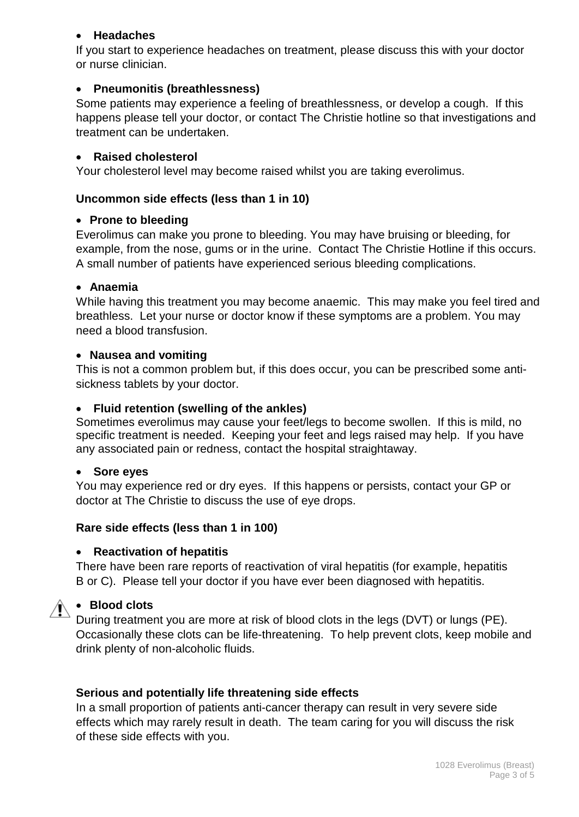#### • **Headaches**

If you start to experience headaches on treatment, please discuss this with your doctor or nurse clinician.

#### • **Pneumonitis (breathlessness)**

Some patients may experience a feeling of breathlessness, or develop a cough. If this happens please tell your doctor, or contact The Christie hotline so that investigations and treatment can be undertaken.

#### • **Raised cholesterol**

Your cholesterol level may become raised whilst you are taking everolimus.

#### **Uncommon side effects (less than 1 in 10)**

#### • **Prone to bleeding**

Everolimus can make you prone to bleeding. You may have bruising or bleeding, for example, from the nose, gums or in the urine. Contact The Christie Hotline if this occurs. A small number of patients have experienced serious bleeding complications.

#### • **Anaemia**

While having this treatment you may become anaemic. This may make you feel tired and breathless. Let your nurse or doctor know if these symptoms are a problem. You may need a blood transfusion.

#### • **Nausea and vomiting**

This is not a common problem but, if this does occur, you can be prescribed some antisickness tablets by your doctor.

#### • **Fluid retention (swelling of the ankles)**

Sometimes everolimus may cause your feet/legs to become swollen. If this is mild, no specific treatment is needed. Keeping your feet and legs raised may help. If you have any associated pain or redness, contact the hospital straightaway.

#### • **Sore eyes**

You may experience red or dry eyes. If this happens or persists, contact your GP or doctor at The Christie to discuss the use of eye drops.

#### **Rare side effects (less than 1 in 100)**

#### • **Reactivation of hepatitis**

There have been rare reports of reactivation of viral hepatitis (for example, hepatitis B or C). Please tell your doctor if you have ever been diagnosed with hepatitis.

#### • **Blood clots**

During treatment you are more at risk of blood clots in the legs (DVT) or lungs (PE). Occasionally these clots can be life-threatening. To help prevent clots, keep mobile and drink plenty of non-alcoholic fluids.

#### **Serious and potentially life threatening side effects**

In a small proportion of patients anti-cancer therapy can result in very severe side effects which may rarely result in death. The team caring for you will discuss the risk of these side effects with you.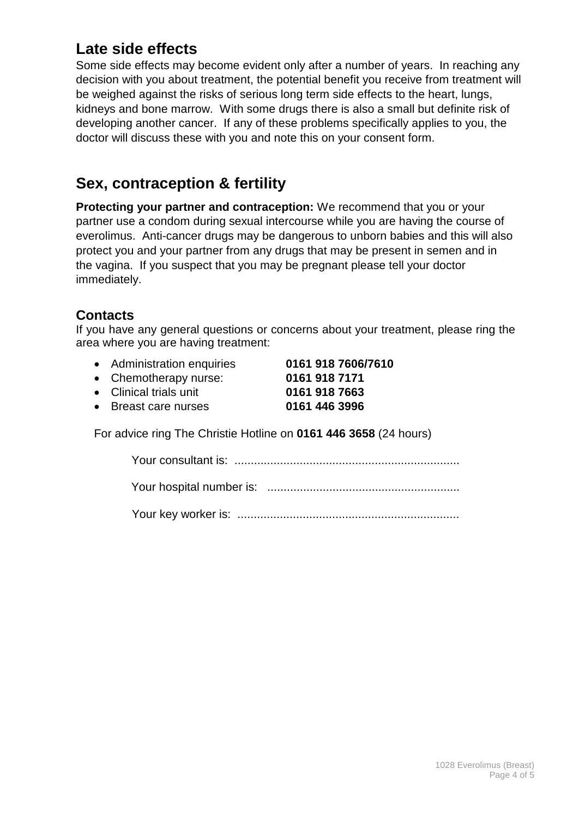# **Late side effects**

Some side effects may become evident only after a number of years. In reaching any decision with you about treatment, the potential benefit you receive from treatment will be weighed against the risks of serious long term side effects to the heart, lungs, kidneys and bone marrow. With some drugs there is also a small but definite risk of developing another cancer. If any of these problems specifically applies to you, the doctor will discuss these with you and note this on your consent form.

# **Sex, contraception & fertility**

**Protecting your partner and contraception:** We recommend that you or your partner use a condom during sexual intercourse while you are having the course of everolimus. Anti-cancer drugs may be dangerous to unborn babies and this will also protect you and your partner from any drugs that may be present in semen and in the vagina. If you suspect that you may be pregnant please tell your doctor immediately.

## **Contacts**

If you have any general questions or concerns about your treatment, please ring the area where you are having treatment:

| • Administration enquiries | 0161 918 7606/7610 |
|----------------------------|--------------------|
| • Chemotherapy nurse:      | 0161 918 7171      |
| • Clinical trials unit     | 0161 918 7663      |
| • Breast care nurses       | 0161 446 3996      |
|                            |                    |

For advice ring The Christie Hotline on **0161 446 3658** (24 hours)